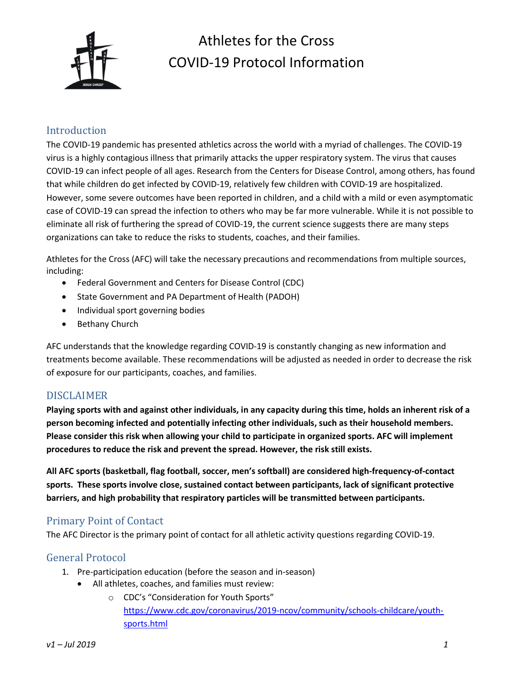

# Athletes for the Cross COVID-19 Protocol Information

## Introduction

The COVID-19 pandemic has presented athletics across the world with a myriad of challenges. The COVID-19 virus is a highly contagious illness that primarily attacks the upper respiratory system. The virus that causes COVID-19 can infect people of all ages. Research from the Centers for Disease Control, among others, has found that while children do get infected by COVID-19, relatively few children with COVID-19 are hospitalized. However, some severe outcomes have been reported in children, and a child with a mild or even asymptomatic case of COVID-19 can spread the infection to others who may be far more vulnerable. While it is not possible to eliminate all risk of furthering the spread of COVID-19, the current science suggests there are many steps organizations can take to reduce the risks to students, coaches, and their families.

Athletes for the Cross (AFC) will take the necessary precautions and recommendations from multiple sources, including:

- Federal Government and Centers for Disease Control (CDC)
- State Government and PA Department of Health (PADOH)
- Individual sport governing bodies
- Bethany Church

AFC understands that the knowledge regarding COVID-19 is constantly changing as new information and treatments become available. These recommendations will be adjusted as needed in order to decrease the risk of exposure for our participants, coaches, and families.

# DISCLAIMER

Playing sports with and against other individuals, in any capacity during this time, holds an inherent risk of a person becoming infected and potentially infecting other individuals, such as their household members. Please consider this risk when allowing your child to participate in organized sports. AFC will implement procedures to reduce the risk and prevent the spread. However, the risk still exists.

All AFC sports (basketball, flag football, soccer, men's softball) are considered high-frequency-of-contact sports. These sports involve close, sustained contact between participants, lack of significant protective barriers, and high probability that respiratory particles will be transmitted between participants.

# Primary Point of Contact

The AFC Director is the primary point of contact for all athletic activity questions regarding COVID-19.

# General Protocol

- 1. Pre-participation education (before the season and in-season)
	- All athletes, coaches, and families must review:
		- o CDC's "Consideration for Youth Sports" https://www.cdc.gov/coronavirus/2019-ncov/community/schools-childcare/youthsports.html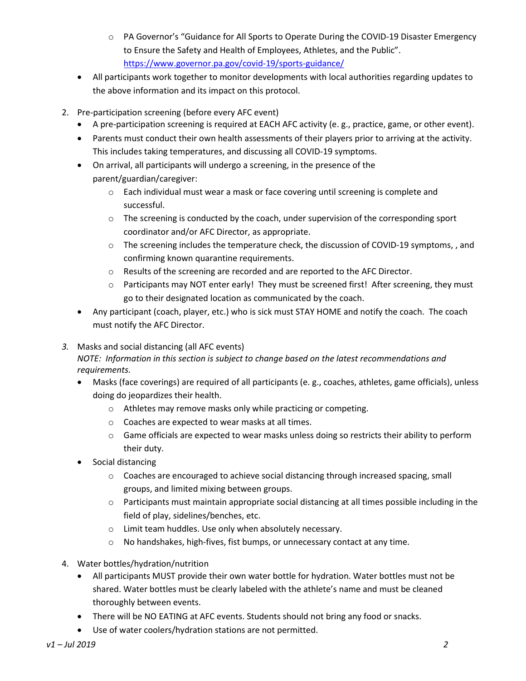- o PA Governor's "Guidance for All Sports to Operate During the COVID-19 Disaster Emergency to Ensure the Safety and Health of Employees, Athletes, and the Public". https://www.governor.pa.gov/covid-19/sports-guidance/
- All participants work together to monitor developments with local authorities regarding updates to the above information and its impact on this protocol.
- 2. Pre-participation screening (before every AFC event)
	- A pre-participation screening is required at EACH AFC activity (e. g., practice, game, or other event).
	- Parents must conduct their own health assessments of their players prior to arriving at the activity. This includes taking temperatures, and discussing all COVID-19 symptoms.
	- On arrival, all participants will undergo a screening, in the presence of the parent/guardian/caregiver:
		- $\circ$  Each individual must wear a mask or face covering until screening is complete and successful.
		- $\circ$  The screening is conducted by the coach, under supervision of the corresponding sport coordinator and/or AFC Director, as appropriate.
		- $\circ$  The screening includes the temperature check, the discussion of COVID-19 symptoms,, and confirming known quarantine requirements.
		- o Results of the screening are recorded and are reported to the AFC Director.
		- $\circ$  Participants may NOT enter early! They must be screened first! After screening, they must go to their designated location as communicated by the coach.
	- Any participant (coach, player, etc.) who is sick must STAY HOME and notify the coach. The coach must notify the AFC Director.
- 3. Masks and social distancing (all AFC events)

## NOTE: Information in this section is subject to change based on the latest recommendations and requirements.

- Masks (face coverings) are required of all participants (e. g., coaches, athletes, game officials), unless doing do jeopardizes their health.
	- o Athletes may remove masks only while practicing or competing.
	- o Coaches are expected to wear masks at all times.
	- $\circ$  Game officials are expected to wear masks unless doing so restricts their ability to perform their duty.
- Social distancing
	- $\circ$  Coaches are encouraged to achieve social distancing through increased spacing, small groups, and limited mixing between groups.
	- $\circ$  Participants must maintain appropriate social distancing at all times possible including in the field of play, sidelines/benches, etc.
	- o Limit team huddles. Use only when absolutely necessary.
	- $\circ$  No handshakes, high-fives, fist bumps, or unnecessary contact at any time.
- 4. Water bottles/hydration/nutrition
	- All participants MUST provide their own water bottle for hydration. Water bottles must not be shared. Water bottles must be clearly labeled with the athlete's name and must be cleaned thoroughly between events.
	- There will be NO EATING at AFC events. Students should not bring any food or snacks.
	- Use of water coolers/hydration stations are not permitted.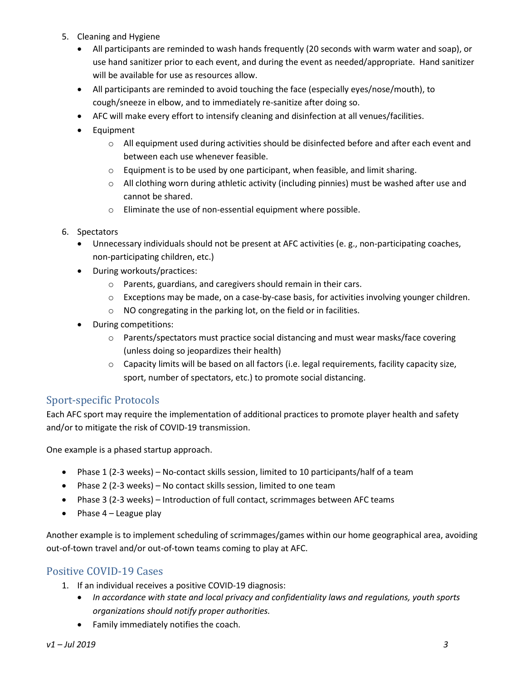- 5. Cleaning and Hygiene
	- All participants are reminded to wash hands frequently (20 seconds with warm water and soap), or use hand sanitizer prior to each event, and during the event as needed/appropriate. Hand sanitizer will be available for use as resources allow.
	- All participants are reminded to avoid touching the face (especially eyes/nose/mouth), to cough/sneeze in elbow, and to immediately re-sanitize after doing so.
	- AFC will make every effort to intensify cleaning and disinfection at all venues/facilities.
	- Equipment
		- $\circ$  All equipment used during activities should be disinfected before and after each event and between each use whenever feasible.
		- o Equipment is to be used by one participant, when feasible, and limit sharing.
		- $\circ$  All clothing worn during athletic activity (including pinnies) must be washed after use and cannot be shared.
		- o Eliminate the use of non-essential equipment where possible.
- 6. Spectators
	- Unnecessary individuals should not be present at AFC activities (e. g., non-participating coaches, non-participating children, etc.)
	- During workouts/practices:
		- o Parents, guardians, and caregivers should remain in their cars.
		- $\circ$  Exceptions may be made, on a case-by-case basis, for activities involving younger children.
		- o NO congregating in the parking lot, on the field or in facilities.
	- During competitions:
		- o Parents/spectators must practice social distancing and must wear masks/face covering (unless doing so jeopardizes their health)
		- o Capacity limits will be based on all factors (i.e. legal requirements, facility capacity size, sport, number of spectators, etc.) to promote social distancing.

## Sport-specific Protocols

Each AFC sport may require the implementation of additional practices to promote player health and safety and/or to mitigate the risk of COVID-19 transmission.

One example is a phased startup approach.

- Phase 1 (2-3 weeks) No-contact skills session, limited to 10 participants/half of a team
- Phase 2 (2-3 weeks) No contact skills session, limited to one team
- Phase 3 (2-3 weeks) Introduction of full contact, scrimmages between AFC teams
- Phase  $4$  League play

Another example is to implement scheduling of scrimmages/games within our home geographical area, avoiding out-of-town travel and/or out-of-town teams coming to play at AFC.

## Positive COVID-19 Cases

- 1. If an individual receives a positive COVID-19 diagnosis:
	- In accordance with state and local privacy and confidentiality laws and regulations, youth sports organizations should notify proper authorities.
	- Family immediately notifies the coach.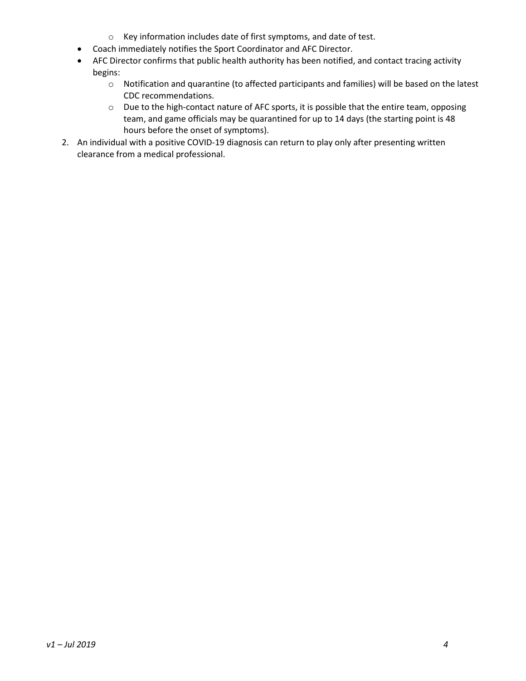- o Key information includes date of first symptoms, and date of test.
- Coach immediately notifies the Sport Coordinator and AFC Director.
- AFC Director confirms that public health authority has been notified, and contact tracing activity begins:
	- o Notification and quarantine (to affected participants and families) will be based on the latest CDC recommendations.
	- o Due to the high-contact nature of AFC sports, it is possible that the entire team, opposing team, and game officials may be quarantined for up to 14 days (the starting point is 48 hours before the onset of symptoms).
- 2. An individual with a positive COVID-19 diagnosis can return to play only after presenting written clearance from a medical professional.